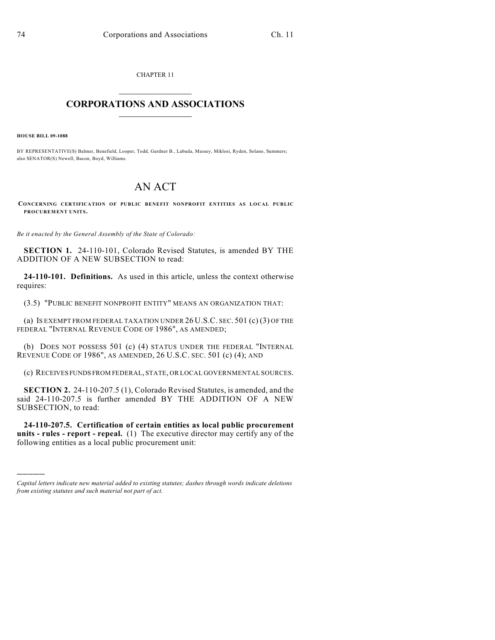CHAPTER 11  $\overline{\phantom{a}}$  . The set of the set of the set of the set of the set of the set of the set of the set of the set of the set of the set of the set of the set of the set of the set of the set of the set of the set of the set o

## **CORPORATIONS AND ASSOCIATIONS**  $\_$   $\_$   $\_$   $\_$   $\_$   $\_$   $\_$   $\_$   $\_$

**HOUSE BILL 09-1088**

)))))

BY REPRESENTATIVE(S) Balmer, Benefield, Looper, Todd, Gardner B., Labuda, Massey, Miklosi, Ryden, Solano, Summers; also SENATOR(S) Newell, Bacon, Boyd, Williams.

## AN ACT

**CONCERNING CERTIFICATION OF PUBLIC BENEFIT NONPROFIT ENTITIES AS LOCAL PUBLIC PROCUREMENT UNITS.**

*Be it enacted by the General Assembly of the State of Colorado:*

**SECTION 1.** 24-110-101, Colorado Revised Statutes, is amended BY THE ADDITION OF A NEW SUBSECTION to read:

**24-110-101. Definitions.** As used in this article, unless the context otherwise requires:

(3.5) "PUBLIC BENEFIT NONPROFIT ENTITY" MEANS AN ORGANIZATION THAT:

(a) IS EXEMPT FROM FEDERAL TAXATION UNDER 26 U.S.C. SEC. 501 (c) (3) OF THE FEDERAL "INTERNAL REVENUE CODE OF 1986", AS AMENDED;

(b) DOES NOT POSSESS 501 (c) (4) STATUS UNDER THE FEDERAL "INTERNAL REVENUE CODE OF 1986", AS AMENDED, 26 U.S.C. SEC. 501 (c) (4); AND

(c) RECEIVES FUNDS FROM FEDERAL, STATE, OR LOCAL GOVERNMENTAL SOURCES.

**SECTION 2.** 24-110-207.5 (1), Colorado Revised Statutes, is amended, and the said 24-110-207.5 is further amended BY THE ADDITION OF A NEW SUBSECTION, to read:

**24-110-207.5. Certification of certain entities as local public procurement units - rules - report - repeal.** (1) The executive director may certify any of the following entities as a local public procurement unit:

*Capital letters indicate new material added to existing statutes; dashes through words indicate deletions from existing statutes and such material not part of act.*